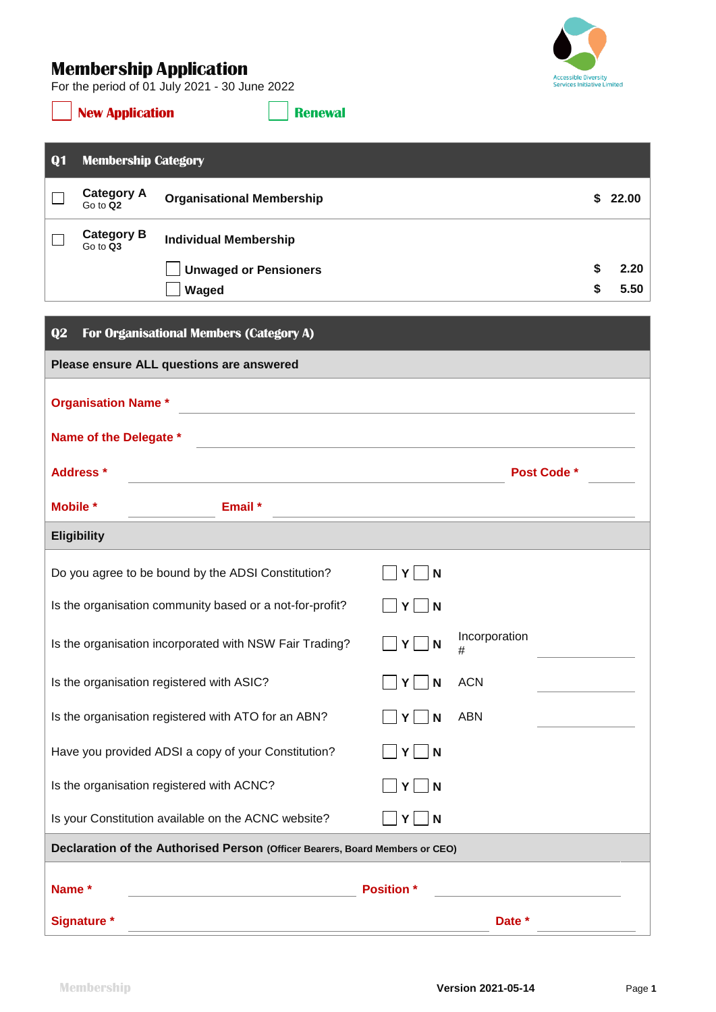## **Membership Application**

For the period of 01 July 2021 - 30 June 2022



**New Application Renewal** 

| Q1                                                                                               | <b>Membership Category</b>    |                                                    |                   |            |    |         |  |  |
|--------------------------------------------------------------------------------------------------|-------------------------------|----------------------------------------------------|-------------------|------------|----|---------|--|--|
|                                                                                                  | <b>Category A</b><br>Go to Q2 | <b>Organisational Membership</b>                   |                   |            |    | \$22.00 |  |  |
|                                                                                                  | <b>Category B</b><br>Go to Q3 | <b>Individual Membership</b>                       |                   |            |    |         |  |  |
|                                                                                                  |                               | <b>Unwaged or Pensioners</b>                       |                   |            | \$ | 2.20    |  |  |
|                                                                                                  |                               | Waged                                              |                   |            | \$ | 5.50    |  |  |
| Q2                                                                                               |                               | For Organisational Members (Category A)            |                   |            |    |         |  |  |
| Please ensure ALL questions are answered                                                         |                               |                                                    |                   |            |    |         |  |  |
| <b>Organisation Name*</b>                                                                        |                               |                                                    |                   |            |    |         |  |  |
| Name of the Delegate *<br><u> 1989 - Jan Samuel Barbara, margaret eta politikaria (h. 1989).</u> |                               |                                                    |                   |            |    |         |  |  |
| <b>Address</b> *<br><b>Post Code *</b>                                                           |                               |                                                    |                   |            |    |         |  |  |
| Mobile *                                                                                         |                               | Email *                                            |                   |            |    |         |  |  |
|                                                                                                  | <b>Eligibility</b>            |                                                    |                   |            |    |         |  |  |
|                                                                                                  |                               | Do you agree to be bound by the ADSI Constitution? | Y<br>N            |            |    |         |  |  |
| Is the organisation community based or a not-for-profit?<br>Y<br>N                               |                               |                                                    |                   |            |    |         |  |  |
| Incorporation<br>Is the organisation incorporated with NSW Fair Trading?<br>$Y \vert$<br>N<br>#  |                               |                                                    |                   |            |    |         |  |  |
| Is the organisation registered with ASIC?<br>N<br>Y                                              |                               |                                                    |                   | <b>ACN</b> |    |         |  |  |
| Is the organisation registered with ATO for an ABN?<br><b>ABN</b><br>N<br>Y                      |                               |                                                    |                   |            |    |         |  |  |
| Have you provided ADSI a copy of your Constitution?<br>$Y$    N                                  |                               |                                                    |                   |            |    |         |  |  |
| Is the organisation registered with ACNC?<br>$Y \mid N$                                          |                               |                                                    |                   |            |    |         |  |  |
| Is your Constitution available on the ACNC website?<br>N<br>Y                                    |                               |                                                    |                   |            |    |         |  |  |
| Declaration of the Authorised Person (Officer Bearers, Board Members or CEO)                     |                               |                                                    |                   |            |    |         |  |  |
| Name *                                                                                           |                               |                                                    | <b>Position</b> * |            |    |         |  |  |

|  | POSItion |  |
|--|----------|--|
|  |          |  |
|  |          |  |

**Signature \* Date \***